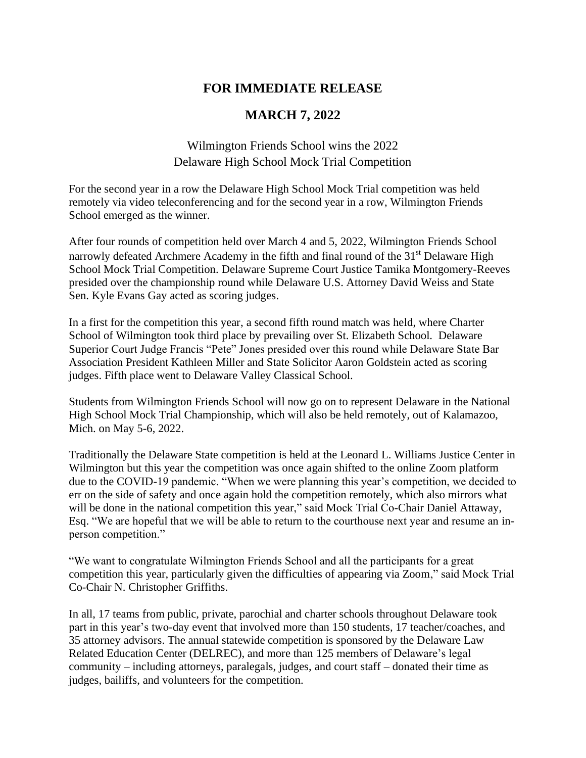## **FOR IMMEDIATE RELEASE**

## **MARCH 7, 2022**

Wilmington Friends School wins the 2022 Delaware High School Mock Trial Competition

For the second year in a row the Delaware High School Mock Trial competition was held remotely via video teleconferencing and for the second year in a row, Wilmington Friends School emerged as the winner.

After four rounds of competition held over March 4 and 5, 2022, Wilmington Friends School narrowly defeated Archmere Academy in the fifth and final round of the 31<sup>st</sup> Delaware High School Mock Trial Competition. Delaware Supreme Court Justice Tamika Montgomery-Reeves presided over the championship round while Delaware U.S. Attorney David Weiss and State Sen. Kyle Evans Gay acted as scoring judges.

In a first for the competition this year, a second fifth round match was held, where Charter School of Wilmington took third place by prevailing over St. Elizabeth School. Delaware Superior Court Judge Francis "Pete" Jones presided over this round while Delaware State Bar Association President Kathleen Miller and State Solicitor Aaron Goldstein acted as scoring judges. Fifth place went to Delaware Valley Classical School.

Students from Wilmington Friends School will now go on to represent Delaware in the National High School Mock Trial Championship, which will also be held remotely, out of Kalamazoo, Mich. on May 5-6, 2022.

Traditionally the Delaware State competition is held at the Leonard L. Williams Justice Center in Wilmington but this year the competition was once again shifted to the online Zoom platform due to the COVID-19 pandemic. "When we were planning this year's competition, we decided to err on the side of safety and once again hold the competition remotely, which also mirrors what will be done in the national competition this year," said Mock Trial Co-Chair Daniel Attaway, Esq. "We are hopeful that we will be able to return to the courthouse next year and resume an inperson competition."

"We want to congratulate Wilmington Friends School and all the participants for a great competition this year, particularly given the difficulties of appearing via Zoom," said Mock Trial Co-Chair N. Christopher Griffiths.

In all, 17 teams from public, private, parochial and charter schools throughout Delaware took part in this year's two-day event that involved more than 150 students, 17 teacher/coaches, and 35 attorney advisors. The annual statewide competition is sponsored by the Delaware Law Related Education Center (DELREC), and more than 125 members of Delaware's legal community – including attorneys, paralegals, judges, and court staff – donated their time as judges, bailiffs, and volunteers for the competition.